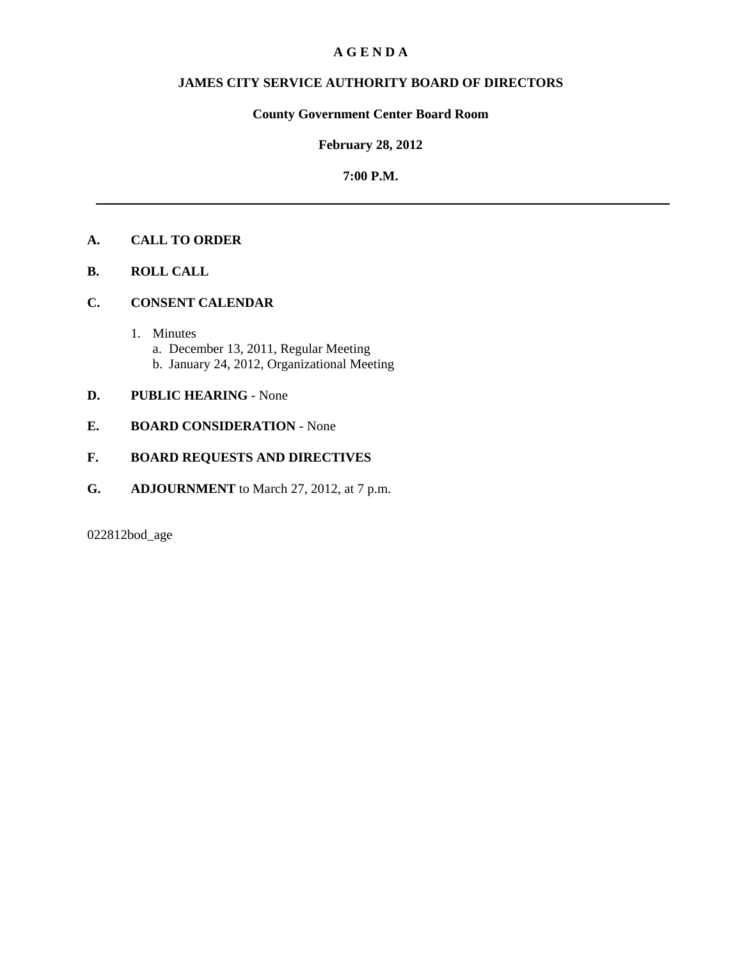## **A G E N D A**

# **JAMES CITY SERVICE AUTHORITY BOARD OF DIRECTORS**

# **County Government Center Board Room**

## **February 28, 2012**

## **7:00 P.M.**

# **A. CALL TO ORDER**

- **B. ROLL CALL**
- **C. CONSENT CALENDAR** 
	- 1. Minutes a. December 13, 2011, Regular Meeting b. January 24, 2012, Organizational Meeting

## **D. PUBLIC HEARING** - None

**E. BOARD CONSIDERATION** - None

#### **F. BOARD REQUESTS AND DIRECTIVES**

**G. ADJOURNMENT** to March 27, 2012, at 7 p.m.

022812bod\_age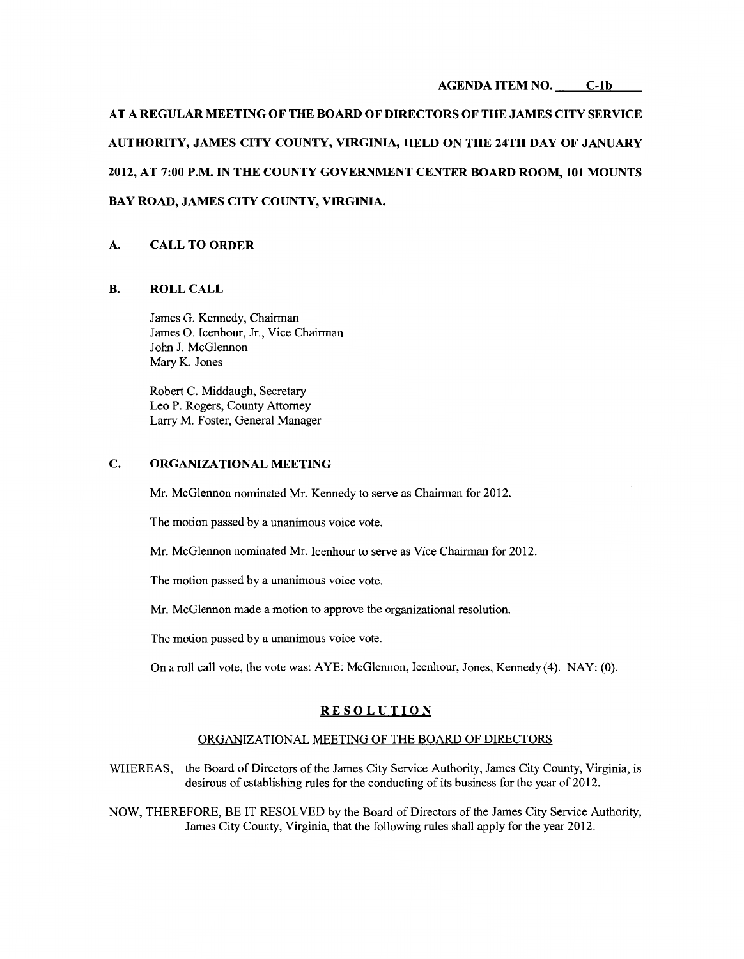#### **AGENDA ITEM NO. C-1b**

**AT A REGULAR MEETING OF THE BOARD OF DIRECTORS OF THE JAMES CITY SERVICE AUTHORITY, JAMES CITY COUNTY, VIRGINIA, HELD ON THE 24TH DAY OF JANUARY 2012, AT 7:00 P.M. IN THE COUNTY GOVERNMENT CENTER BOARD ROOM, 101 MOUNTS BAY ROAD, JAMES CITY COUNTY, VIRGINIA.** 

#### **A. CALL TO ORDER**

#### **B. ROLLCALL**

James G. Kennedy, Chairman James 0. Icenhour, Jr., Vice Chairman John J. McGlennon Mary K. Jones

Robert C. Middaugh, Secretary Leo P. Rogers, County Attorney Larry M. Foster, General Manager

#### **C. ORGANIZATIONAL MEETING**

Mr. McGlennon nominated Mr. Kennedy to serve as Chairman for 2012.

The motion passed by a unanimous voice vote.

Mr. McGlennon nominated Mr. Icenhour to serve as Vice Chairman for 2012.

The motion passed by a unanimous voice vote.

Mr. McGlennon made a motion to approve the organizational resolution.

The motion passed by a unanimous voice vote.

On a roll call vote, the vote was: AYE: McGlennon, Icenhour, Jones, Kennedy (4). NAY: (0).

#### **RESOLUTION**

#### ORGANIZATIONAL MEETING OF THE BOARD OF DIRECTORS

WHEREAS, the Board of Directors of the James City Service Authority, James City County, Virginia, is desirous of establishing rules for the conducting of its business for the year of 2012.

NOW, THEREFORE, BE IT RESOLVED by the Board of Directors of the James City Service Authority, James City County, Virginia, that the following rules shall apply for the year 2012.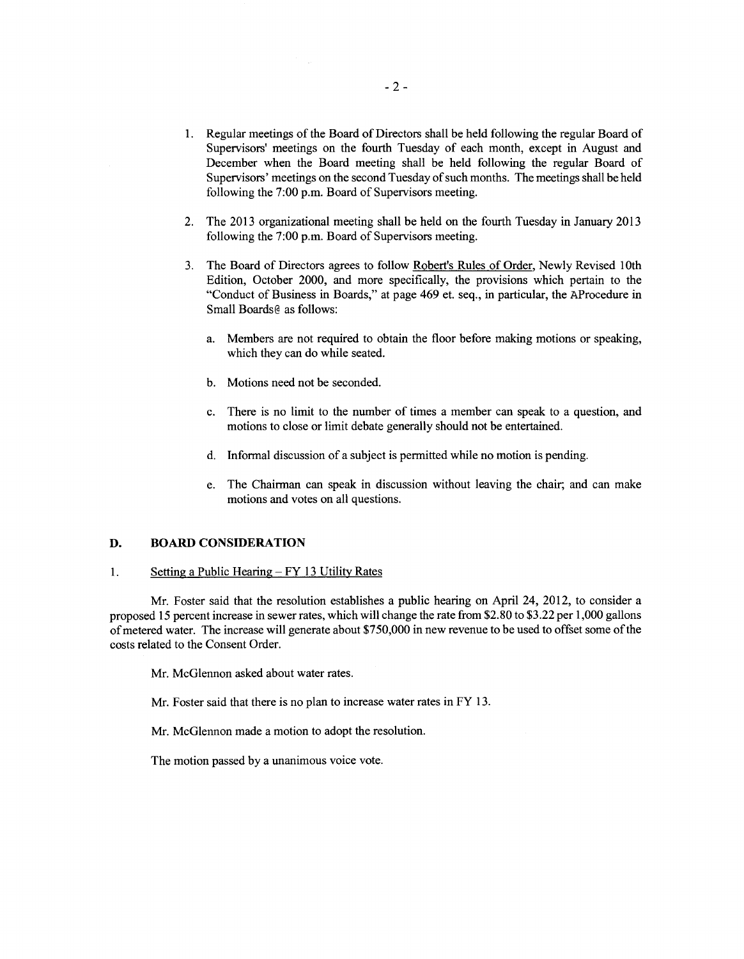- 1. Regular meetings of the Board of Directors shall be held following the regular Board of Supervisors' meetings on the fourth Tuesday of each month, except in August and December when the Board meeting shall be held following the regular Board of Supervisors' meetings on the second Tuesday of such months. The meetings shall be held following the 7:00 p.m. Board of Supervisors meeting.
- 2. The 2013 organizational meeting shall be held on the fourth Tuesday in January 2013 following the  $7:00$  p.m. Board of Supervisors meeting.
- 3. The Board of Directors agrees to follow Robert's Rules of Order, Newly Revised 1Oth Edition, October 2000, and more specifically, the provisions which pertain to the "Conduct of Business in Boards," at page 469 et. seq., in particular, the AProcedure in Small Boards@ as follows:
	- a. Members are not required to obtain the floor before making motions or speaking, which they can do while seated.
	- b. Motions need not be seconded.
	- c. There is no limit to the number of times a member can speak to a question, and motions to close or limit debate generally should not be entertained.
	- d. Informal discussion of a subject is permitted while no motion is pending.
	- e. The Chairman can speak in discussion without leaving the chair; and can make motions and votes on all questions.

#### **D. BOARD CONSIDERATION**

#### 1. Setting a Public Hearing  $-FY$  13 Utility Rates

Mr. Foster said that the resolution establishes a public hearing on April 24, 2012, to consider a proposed 15 percent increase in sewer rates, which will change the rate from \$2.80 to \$3.22 per 1,000 gallons of metered water. The increase will generate about \$750,000 in new revenue to be used to offset some of the costs related to the Consent Order.

Mr. McGlennon asked about water rates.

Mr. Foster said that there is no plan to increase water rates in FY 13.

Mr. McGlennon made a motion to adopt the resolution.

The motion passed by a unanimous voice vote.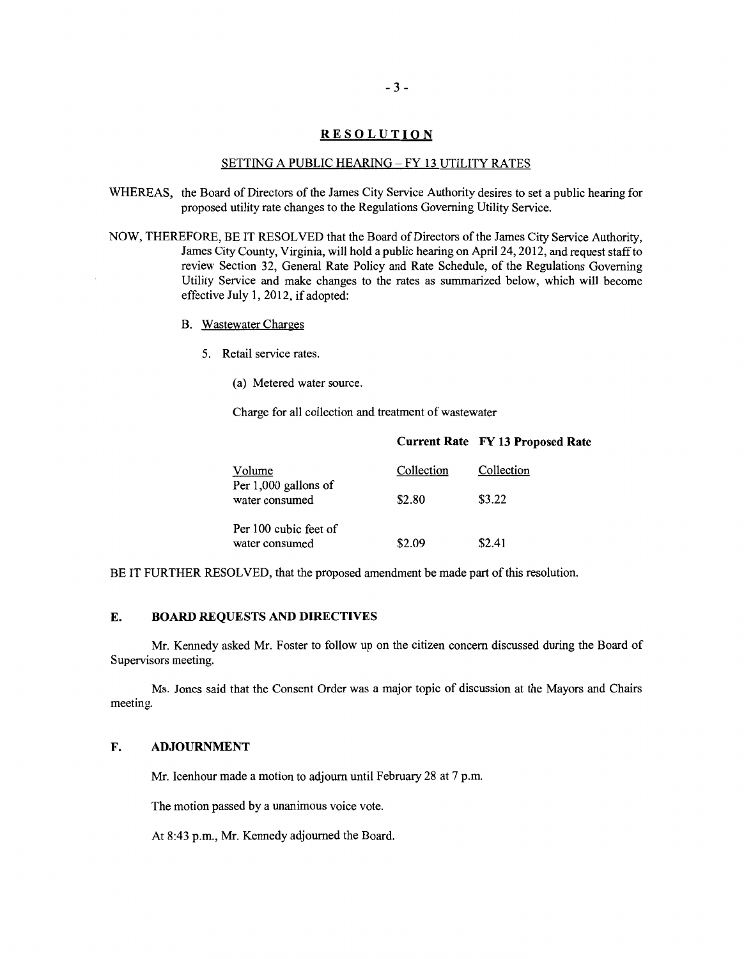## **RESOLUTION**

#### SETTING A PUBLIC HEARING- FY 13 UTILITY RATES

- WHEREAS, the Board of Directors of the James City Service Authority desires to set a public hearing for proposed utility rate changes to the Regulations Governing Utility Service.
- NOW, THEREFORE, BE IT RESOLVED that the Board of Directors of the James City Service Authority, James City County, Virginia, will hold a public hearing on April24, 2012, and request staff to review Section 32, General Rate Policy and Rate Schedule, of the Regulations Governing Utility Service and make changes to the rates as summarized below, which will become effective July **1,** 2012, if adopted:
	- B. Wastewater Charges
		- 5. Retail service rates.
			- (a) Metered water source.

Charge for all collection and treatment of wastewater

| Volume<br>Per 1,000 gallons of<br>water consumed | Collection | Collection |
|--------------------------------------------------|------------|------------|
|                                                  | \$2.80     | \$3.22     |
| Per 100 cubic feet of<br>water consumed          | \$2.09     | \$2.41     |

**Current Rate FY 13 Proposed Rate** 

BE IT FURTHER RESOLVED, that the proposed amendment be made part of this resolution.

#### **E. BOARD REQUESTS AND DIRECTIVES**

Mr. Kennedy asked Mr. Foster to follow up on the citizen concern discussed during the Board of Supervisors meeting.

Ms. Jones said that the Consent Order was a major topic of discussion at the Mayors and Chairs meeting.

#### **F. ADJOURNMENT**

Mr. Icenhour made a motion to adjourn until February 28 at 7 p.m.

The motion passed by a unanimous voice vote.

At 8:43 p.m., Mr. Kennedy adjourned the Board.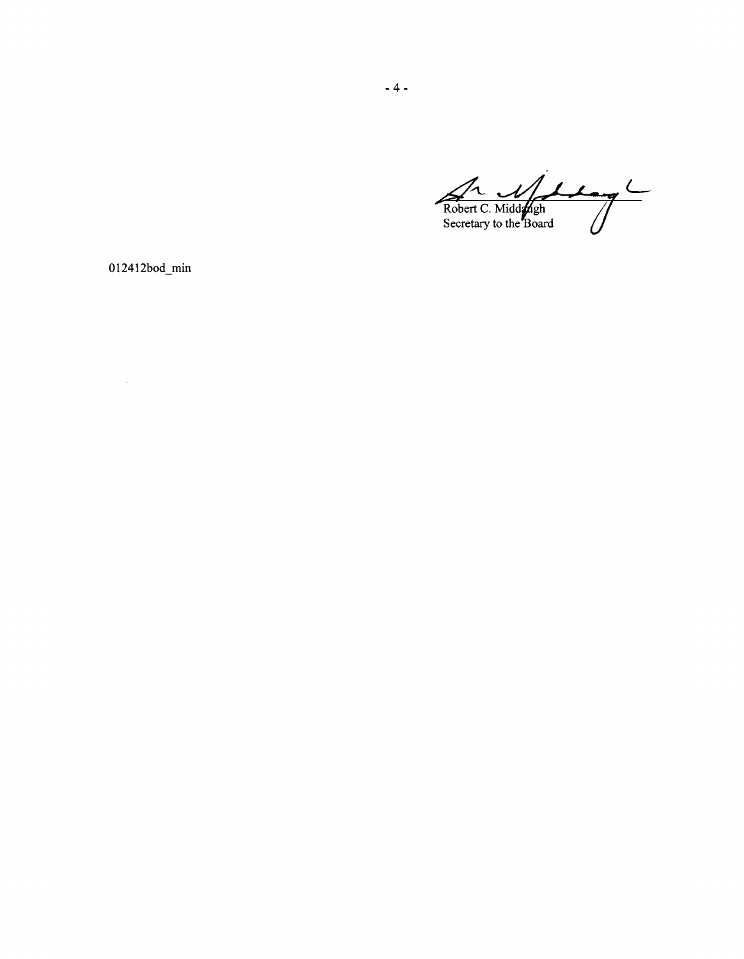Robert C. Middleph Secretary to the Board

012412bod\_min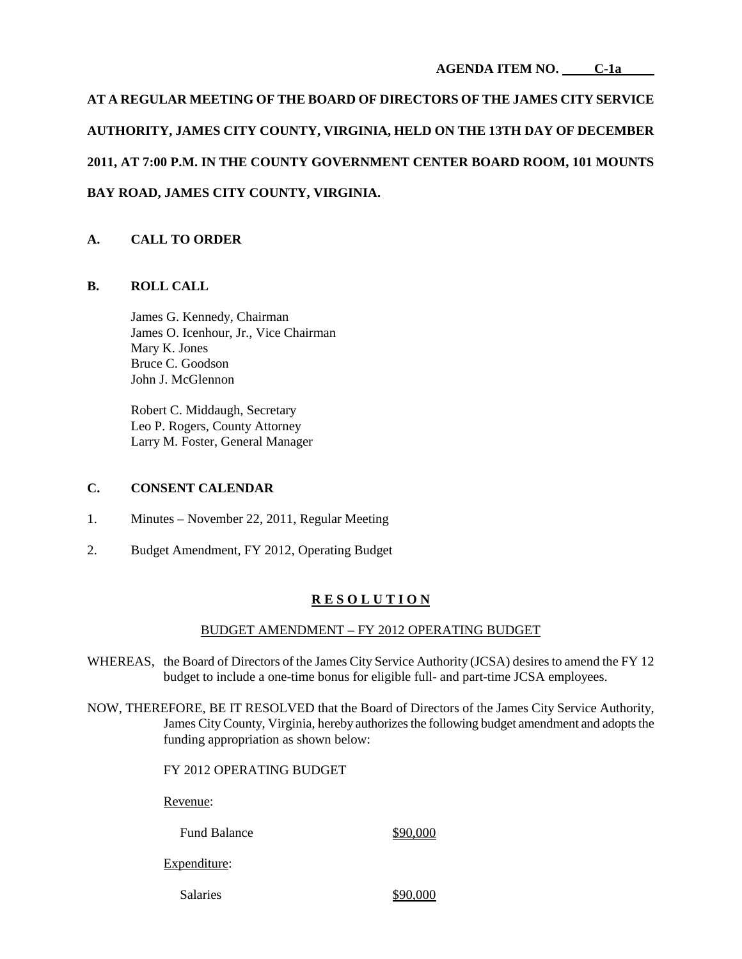**AGENDA ITEM NO. C-1a**

**AT A REGULAR MEETING OF THE BOARD OF DIRECTORS OF THE JAMES CITY SERVICE AUTHORITY, JAMES CITY COUNTY, VIRGINIA, HELD ON THE 13TH DAY OF DECEMBER 2011, AT 7:00 P.M. IN THE COUNTY GOVERNMENT CENTER BOARD ROOM, 101 MOUNTS BAY ROAD, JAMES CITY COUNTY, VIRGINIA.**

# **A. CALL TO ORDER**

## **B. ROLL CALL**

James G. Kennedy, Chairman James O. Icenhour, Jr., Vice Chairman Mary K. Jones Bruce C. Goodson John J. McGlennon

Robert C. Middaugh, Secretary Leo P. Rogers, County Attorney Larry M. Foster, General Manager

## **C. CONSENT CALENDAR**

- 1. Minutes November 22, 2011, Regular Meeting
- 2. Budget Amendment, FY 2012, Operating Budget

# **R E S O L U T I O N**

#### BUDGET AMENDMENT – FY 2012 OPERATING BUDGET

- WHEREAS, the Board of Directors of the James City Service Authority (JCSA) desires to amend the FY 12 budget to include a one-time bonus for eligible full- and part-time JCSA employees.
- NOW, THEREFORE, BE IT RESOLVED that the Board of Directors of the James City Service Authority, James City County, Virginia, hereby authorizes the following budget amendment and adopts the funding appropriation as shown below:

FY 2012 OPERATING BUDGET

Revenue:

Fund Balance \$90,000

Expenditure:

Salaries  $$90,000$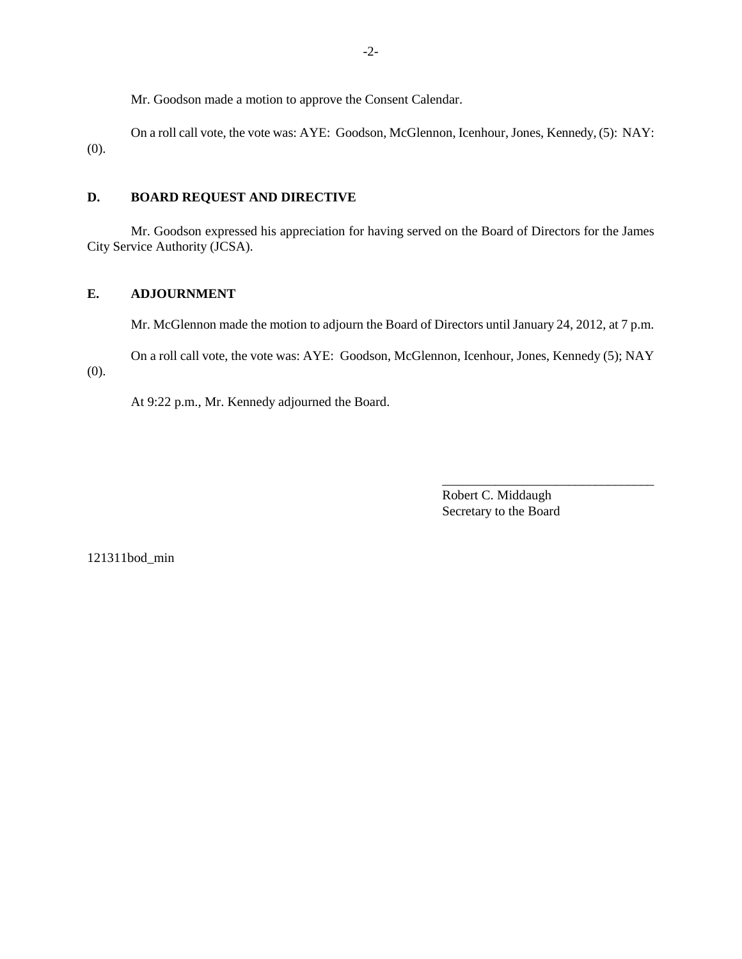Mr. Goodson made a motion to approve the Consent Calendar.

On a roll call vote, the vote was: AYE: Goodson, McGlennon, Icenhour, Jones, Kennedy, (5): NAY: (0).

# **D. BOARD REQUEST AND DIRECTIVE**

Mr. Goodson expressed his appreciation for having served on the Board of Directors for the James City Service Authority (JCSA).

# **E. ADJOURNMENT**

Mr. McGlennon made the motion to adjourn the Board of Directors until January 24, 2012, at 7 p.m.

On a roll call vote, the vote was: AYE: Goodson, McGlennon, Icenhour, Jones, Kennedy (5); NAY (0).

At 9:22 p.m., Mr. Kennedy adjourned the Board.

Robert C. Middaugh Secretary to the Board

\_\_\_\_\_\_\_\_\_\_\_\_\_\_\_\_\_\_\_\_\_\_\_\_\_\_\_\_\_\_\_\_

121311bod\_min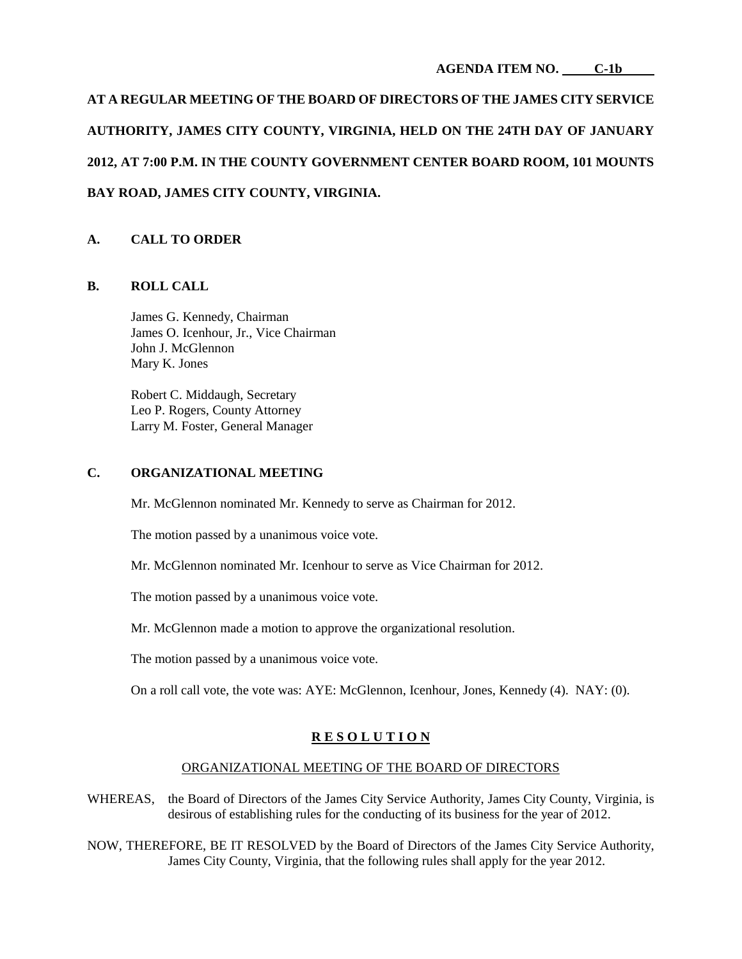**AGENDA ITEM NO. C-1b**

**AT A REGULAR MEETING OF THE BOARD OF DIRECTORS OF THE JAMES CITY SERVICE AUTHORITY, JAMES CITY COUNTY, VIRGINIA, HELD ON THE 24TH DAY OF JANUARY 2012, AT 7:00 P.M. IN THE COUNTY GOVERNMENT CENTER BOARD ROOM, 101 MOUNTS BAY ROAD, JAMES CITY COUNTY, VIRGINIA.**

## **A. CALL TO ORDER**

## **B. ROLL CALL**

James G. Kennedy, Chairman James O. Icenhour, Jr., Vice Chairman John J. McGlennon Mary K. Jones

Robert C. Middaugh, Secretary Leo P. Rogers, County Attorney Larry M. Foster, General Manager

# **C. ORGANIZATIONAL MEETING**

Mr. McGlennon nominated Mr. Kennedy to serve as Chairman for 2012.

The motion passed by a unanimous voice vote.

Mr. McGlennon nominated Mr. Icenhour to serve as Vice Chairman for 2012.

The motion passed by a unanimous voice vote.

Mr. McGlennon made a motion to approve the organizational resolution.

The motion passed by a unanimous voice vote.

On a roll call vote, the vote was: AYE: McGlennon, Icenhour, Jones, Kennedy (4). NAY: (0).

## **R E S O L U T I O N**

#### ORGANIZATIONAL MEETING OF THE BOARD OF DIRECTORS

- WHEREAS, the Board of Directors of the James City Service Authority, James City County, Virginia, is desirous of establishing rules for the conducting of its business for the year of 2012.
- NOW, THEREFORE, BE IT RESOLVED by the Board of Directors of the James City Service Authority, James City County, Virginia, that the following rules shall apply for the year 2012.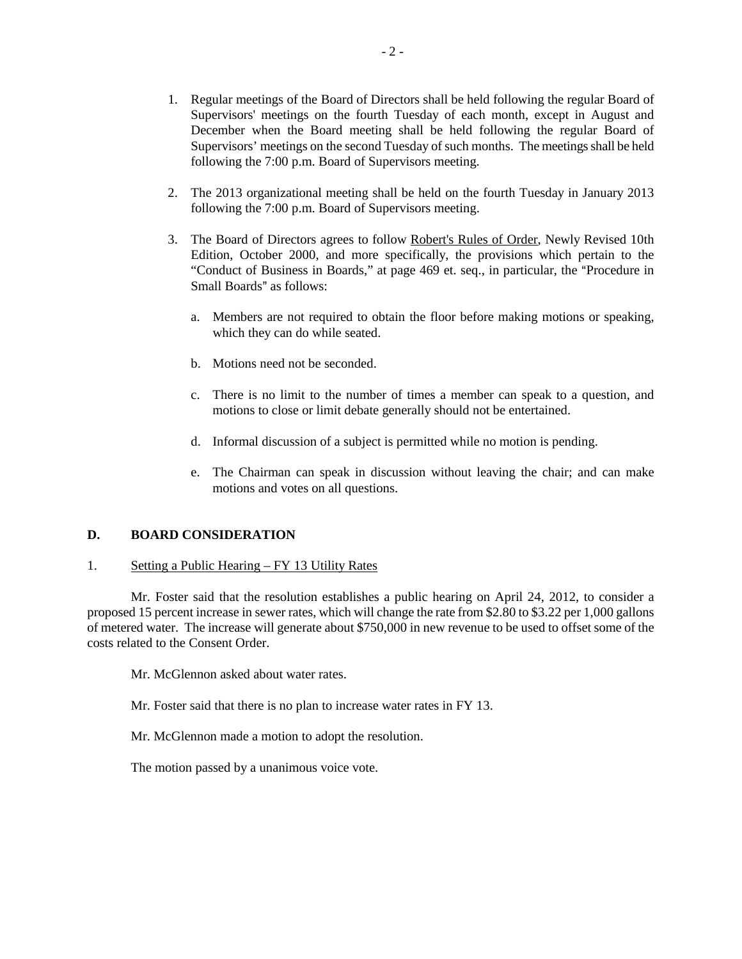- 1. Regular meetings of the Board of Directors shall be held following the regular Board of Supervisors' meetings on the fourth Tuesday of each month, except in August and December when the Board meeting shall be held following the regular Board of Supervisors' meetings on the second Tuesday of such months. The meetings shall be held following the 7:00 p.m. Board of Supervisors meeting.
- 2. The 2013 organizational meeting shall be held on the fourth Tuesday in January 2013 following the 7:00 p.m. Board of Supervisors meeting.
- 3. The Board of Directors agrees to follow Robert's Rules of Order, Newly Revised 10th Edition, October 2000, and more specifically, the provisions which pertain to the "Conduct of Business in Boards," at page 469 et. seq., in particular, the "Procedure in Small Boards" as follows:
	- a. Members are not required to obtain the floor before making motions or speaking, which they can do while seated.
	- b. Motions need not be seconded.
	- c. There is no limit to the number of times a member can speak to a question, and motions to close or limit debate generally should not be entertained.
	- d. Informal discussion of a subject is permitted while no motion is pending.
	- e. The Chairman can speak in discussion without leaving the chair; and can make motions and votes on all questions.

## **D. BOARD CONSIDERATION**

#### 1. Setting a Public Hearing – FY 13 Utility Rates

Mr. Foster said that the resolution establishes a public hearing on April 24, 2012, to consider a proposed 15 percent increase in sewer rates, which will change the rate from \$2.80 to \$3.22 per 1,000 gallons of metered water. The increase will generate about \$750,000 in new revenue to be used to offset some of the costs related to the Consent Order.

Mr. McGlennon asked about water rates.

Mr. Foster said that there is no plan to increase water rates in FY 13.

Mr. McGlennon made a motion to adopt the resolution.

The motion passed by a unanimous voice vote.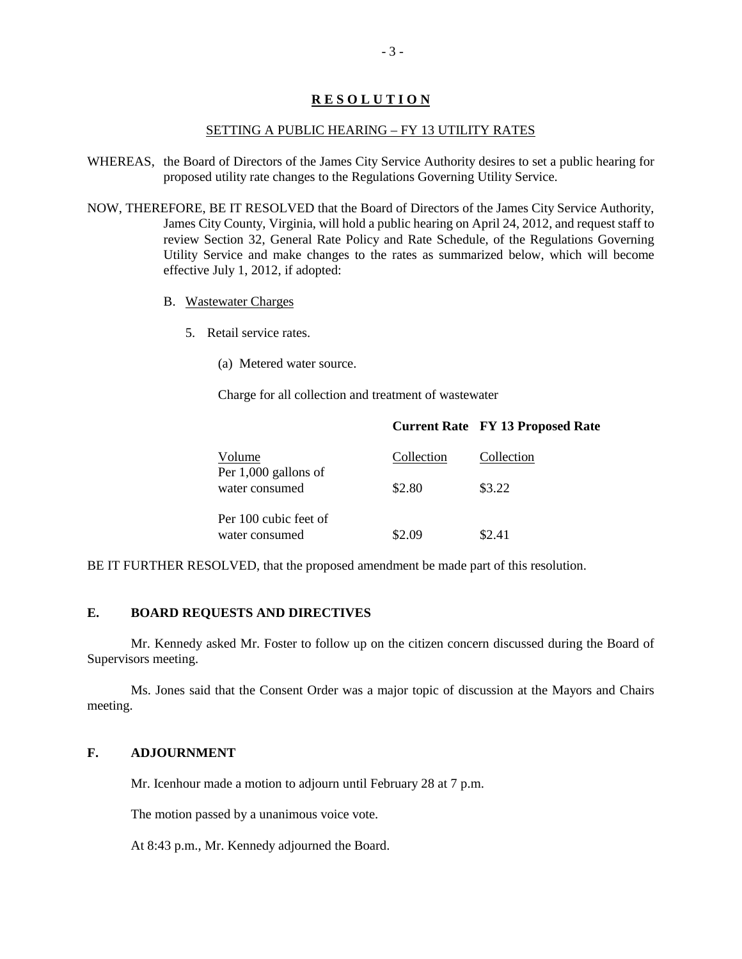# **R E S O L U T I O N**

#### SETTING A PUBLIC HEARING – FY 13 UTILITY RATES

- WHEREAS, the Board of Directors of the James City Service Authority desires to set a public hearing for proposed utility rate changes to the Regulations Governing Utility Service.
- NOW, THEREFORE, BE IT RESOLVED that the Board of Directors of the James City Service Authority, James City County, Virginia, will hold a public hearing on April 24, 2012, and request staff to review Section 32, General Rate Policy and Rate Schedule, of the Regulations Governing Utility Service and make changes to the rates as summarized below, which will become effective July 1, 2012, if adopted:
	- B. Wastewater Charges
		- 5. Retail service rates.
			- (a) Metered water source.

Charge for all collection and treatment of wastewater

|  | <b>Current Rate FY 13 Proposed Rate</b> |  |
|--|-----------------------------------------|--|
|--|-----------------------------------------|--|

| Volume<br>Per $1,000$ gallons of<br>water consumed | Collection | Collection |
|----------------------------------------------------|------------|------------|
|                                                    | \$2.80     | \$3.22     |
| Per 100 cubic feet of<br>water consumed            | \$2.09     | \$2.41     |

BE IT FURTHER RESOLVED, that the proposed amendment be made part of this resolution.

## **E. BOARD REQUESTS AND DIRECTIVES**

Mr. Kennedy asked Mr. Foster to follow up on the citizen concern discussed during the Board of Supervisors meeting.

Ms. Jones said that the Consent Order was a major topic of discussion at the Mayors and Chairs meeting.

# **F. ADJOURNMENT**

Mr. Icenhour made a motion to adjourn until February 28 at 7 p.m.

The motion passed by a unanimous voice vote.

At 8:43 p.m., Mr. Kennedy adjourned the Board.